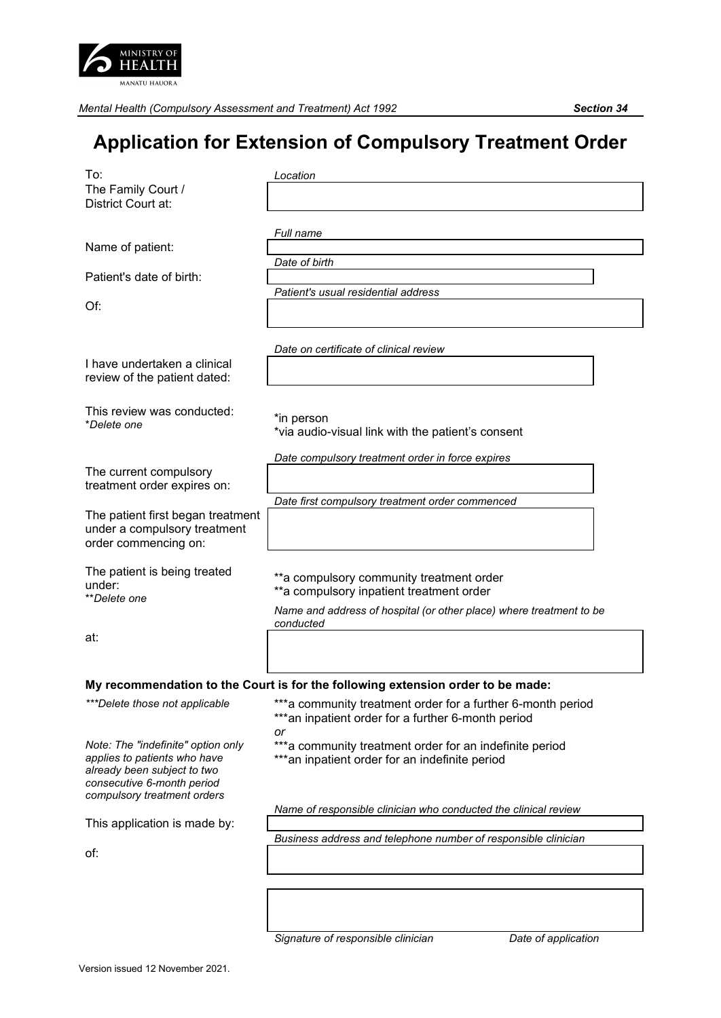

*Mental Health (Compulsory Assessment and Treatment) Act 1992 Section 34*

## **Application for Extension of Compulsory Treatment Order**

| To:<br>The Family Court /<br>District Court at:                                                                                                                | Location                                                                                                                                                                   |
|----------------------------------------------------------------------------------------------------------------------------------------------------------------|----------------------------------------------------------------------------------------------------------------------------------------------------------------------------|
| Name of patient:                                                                                                                                               | Full name                                                                                                                                                                  |
| Patient's date of birth:                                                                                                                                       | Date of birth                                                                                                                                                              |
| Of:                                                                                                                                                            | Patient's usual residential address                                                                                                                                        |
|                                                                                                                                                                | Date on certificate of clinical review                                                                                                                                     |
| I have undertaken a clinical<br>review of the patient dated:                                                                                                   |                                                                                                                                                                            |
| This review was conducted:<br>*Delete one                                                                                                                      | *in person<br>*via audio-visual link with the patient's consent                                                                                                            |
|                                                                                                                                                                | Date compulsory treatment order in force expires                                                                                                                           |
| The current compulsory<br>treatment order expires on:                                                                                                          |                                                                                                                                                                            |
| The patient first began treatment<br>under a compulsory treatment<br>order commencing on:                                                                      | Date first compulsory treatment order commenced                                                                                                                            |
| The patient is being treated<br>under:<br><i>**Delete one</i>                                                                                                  | ** a compulsory community treatment order<br>** a compulsory inpatient treatment order<br>Name and address of hospital (or other place) where treatment to be<br>conducted |
| at:                                                                                                                                                            |                                                                                                                                                                            |
|                                                                                                                                                                | My recommendation to the Court is for the following extension order to be made:                                                                                            |
| ***Delete those not applicable                                                                                                                                 | *** a community treatment order for a further 6-month period<br>*** an inpatient order for a further 6-month period<br>or                                                  |
| Note: The "indefinite" option only<br>applies to patients who have<br>already been subject to two<br>consecutive 6-month period<br>compulsory treatment orders | *** a community treatment order for an indefinite period<br>***an inpatient order for an indefinite period                                                                 |
|                                                                                                                                                                | Name of responsible clinician who conducted the clinical review                                                                                                            |
| This application is made by:                                                                                                                                   | Business address and telephone number of responsible clinician                                                                                                             |
| of:                                                                                                                                                            |                                                                                                                                                                            |
|                                                                                                                                                                |                                                                                                                                                                            |

*Signature of responsible clinician Date of application*